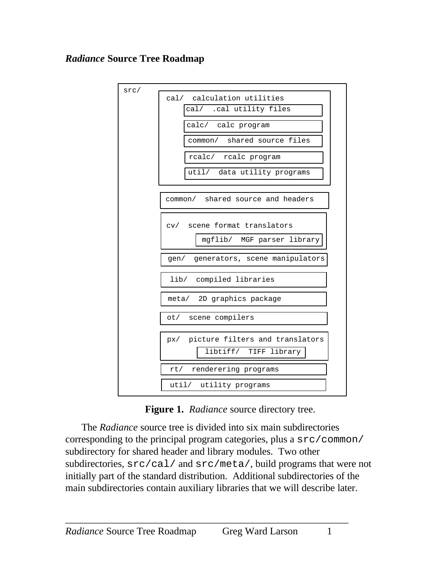### *Radiance* **Source Tree Roadmap**



**Figure 1.** *Radiance* source directory tree.

The *Radiance* source tree is divided into six main subdirectories corresponding to the principal program categories, plus a src/common/ subdirectory for shared header and library modules. Two other subdirectories, src/cal/ and src/meta/, build programs that were not initially part of the standard distribution. Additional subdirectories of the main subdirectories contain auxiliary libraries that we will describe later.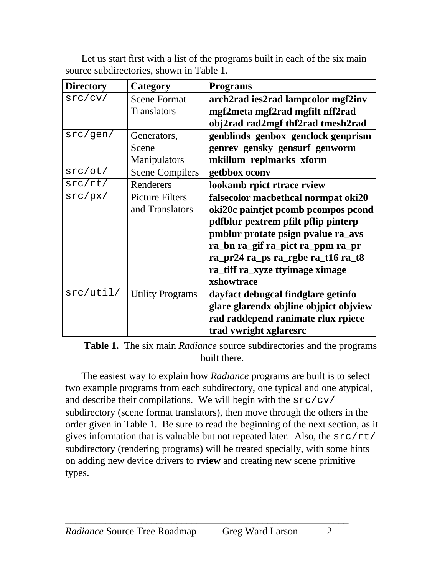| <b>Directory</b> | Category                | <b>Programs</b>                        |
|------------------|-------------------------|----------------------------------------|
| src/cv/          | <b>Scene Format</b>     | arch2rad ies2rad lampcolor mgf2inv     |
|                  | Translators             | mgf2meta mgf2rad mgfilt nff2rad        |
|                  |                         | obj2rad rad2mgf thf2rad tmesh2rad      |
| src/gen/         | Generators,             | genblinds genbox genclock genprism     |
|                  | Scene                   | genrev gensky gensurf genworm          |
|                  | Manipulators            | mkillum replmarks xform                |
| src/ot/          | <b>Scene Compilers</b>  | getbbox oconv                          |
| src/rt/          | Renderers               | lookamb rpict rtrace rview             |
| src/px/          | <b>Picture Filters</b>  | falsecolor macbethcal normpat oki20    |
|                  | and Translators         | oki20c paintjet pcomb pcompos pcond    |
|                  |                         | pdfblur pextrem pfilt pflip pinterp    |
|                  |                         | pmblur protate psign pvalue ra_avs     |
|                  |                         | ra_bn ra_gif ra_pict ra_ppm ra_pr      |
|                  |                         | ra_pr24 ra_ps ra_rgbe ra_t16 ra_t8     |
|                  |                         | ra_tiff ra_xyze ttyimage ximage        |
|                  |                         | xshowtrace                             |
| src/util/        | <b>Utility Programs</b> | dayfact debugcal findglare getinfo     |
|                  |                         | glare glarendx objline objpict objview |
|                  |                         | rad raddepend ranimate rlux rpiece     |
|                  |                         | trad vwright xglaresrc                 |

Let us start first with a list of the programs built in each of the six main source subdirectories, shown in Table 1.

**Table 1.** The six main *Radiance* source subdirectories and the programs built there.

The easiest way to explain how *Radiance* programs are built is to select two example programs from each subdirectory, one typical and one atypical, and describe their compilations. We will begin with the  $src/cv/$ subdirectory (scene format translators), then move through the others in the order given in Table 1. Be sure to read the beginning of the next section, as it gives information that is valuable but not repeated later. Also, the  $src/rt/$ subdirectory (rendering programs) will be treated specially, with some hints on adding new device drivers to **rview** and creating new scene primitive types.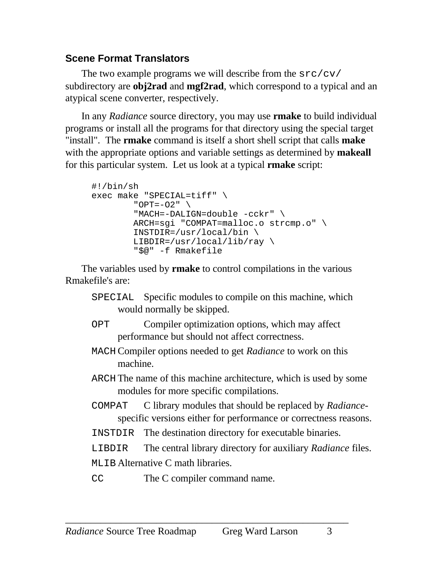## <span id="page-2-0"></span>**Scene Format Translators**

The two example programs we will describe from the src/cv/ subdirectory are **obj2rad** and **mgf2rad**, which correspond to a typical and an atypical scene converter, respectively.

In any *Radiance* source directory, you may use **rmake** to build individual programs or install all the programs for that directory using the special target "install". The **rmake** command is itself a short shell script that calls **make** with the appropriate options and variable settings as determined by **makeall** for this particular system. Let us look at a typical **rmake** script:

```
#!/bin/sh
exec make "SPECIAL=tiff" \
         "OPT=-O2" \
          "MACH=-DALIGN=double -cckr" \
          ARCH=sgi "COMPAT=malloc.o strcmp.o" \
          INSTDIR=/usr/local/bin \
         LIBDIR = \frac{\text{usr}}{\text{local}}\rightarrow \ \ \ \ \ \ \ \ "$@" -f Rmakefile
```
The variables used by **rmake** to control compilations in the various Rmakefile's are:

- SPECIAL Specific modules to compile on this machine, which would normally be skipped.
- OPT Compiler optimization options, which may affect performance but should not affect correctness.
- MACH Compiler options needed to get *Radiance* to work on this machine.
- ARCH The name of this machine architecture, which is used by some modules for more specific compilations.
- COMPAT C library modules that should be replaced by *Radiance*specific versions either for performance or correctness reasons.
- INSTDIR The destination directory for executable binaries.
- LIBDIR The central library directory for auxiliary *Radiance* files. MLIB Alternative C math libraries.
- CC The C compiler command name.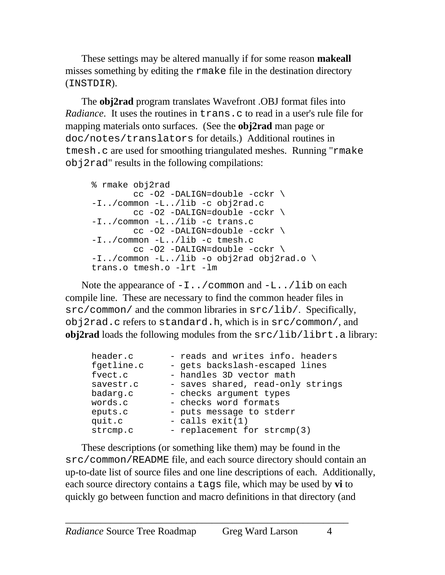<span id="page-3-0"></span>These settings may be altered manually if for some reason **makeall** misses something by editing the rmake file in the destination directory (INSTDIR).

The **obj2rad** program translates Wavefront .OBJ format files into *Radiance*. It uses the routines in trans.c to read in a user's rule file for mapping materials onto surfaces. (See the **obj2rad** man page or doc/notes/translators for details.) Additional routines in tmesh.c are used for smoothing triangulated meshes. Running "rmake obj2rad" results in the following compilations:

```
% rmake obj2rad
         cc -O2 -DALIGN=double -cckr \
-I../common -L../lib -c obj2rad.c
        cc -O2 -DALIGN=double -cckr \
-I../common -L../lib -c trans.c
         cc -O2 -DALIGN=double -cckr \
-I../common -L../lib -c tmesh.c
         cc -O2 -DALIGN=double -cckr \
-I../common -L../lib -o obj2rad obj2rad.o \setminustrans.o tmesh.o -lrt -lm
```
Note the appearance of  $-I$ .../common and  $-L$ .../lib on each compile line. These are necessary to find the common header files in src/common/ and the common libraries in src/lib/. Specifically, obj2rad.c refers to standard.h, which is in src/common/, and **obj2rad** loads the following modules from the  $src / lib / librt$ . a library:

| header.c   | - reads and writes info. headers  |
|------------|-----------------------------------|
| fgetline.c | - gets backslash-escaped lines    |
| fvect.c    | - handles 3D vector math          |
| savestr.c  | - saves shared, read-only strings |
| badarg.c   | - checks argument types           |
| words.c    | - checks word formats             |
| eputs.c    | - puts message to stderr          |
| quit.c     | - calls $exit(1)$                 |
| strcmp.c   | - replacement for strcmp(3)       |

These descriptions (or something like them) may be found in the src/common/README file, and each source directory should contain an up-to-date list of source files and one line descriptions of each. Additionally, each source directory contains a tags file, which may be used by **vi** to quickly go between function and macro definitions in that directory (and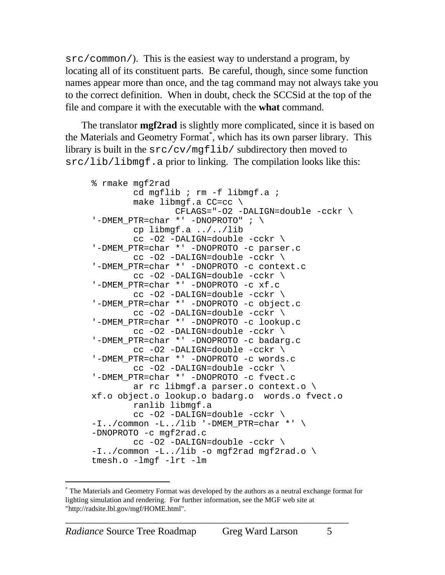src/common/). This is the easiest way to understand a program, by locating all of its constituent parts. Be careful, though, since some function names appear more than once, and the tag command may not always take you to the correct definition. When in doubt, check the SCCSid at the top of the file and compare it with the executable with the **what** command.

The translator **mgf2rad** is slightly more complicated, since it is based on the Materials and Geometry Format\*, which has its own parser library. This library is built in the src/cv/mgflib/ subdirectory then moved to src/lib/libmgf.a prior to linking. The compilation looks like this:

```
% rmake mgf2rad
         cd mgflib ; rm -f libmgf.a ;
        make libmqf.a CC=cc \setminus CFLAGS="-O2 -DALIGN=double -cckr \
'-DMEM PTR=char *' -DNOPROTO" ; \
         cp libmgf.a ../../lib
         cc -O2 -DALIGN=double -cckr \
'-DMEM_PTR=char *' -DNOPROTO -c parser.c
         cc -O2 -DALIGN=double -cckr \
'-DMEM_PTR=char *' -DNOPROTO -c context.c
         cc -O2 -DALIGN=double -cckr \
'-DMEM_PTR=char *' -DNOPROTO -c xf.c
         cc -O2 -DALIGN=double -cckr \
'-DMEM_PTR=char *' -DNOPROTO -c object.c
         cc -O2 -DALIGN=double -cckr \
'-DMEM_PTR=char *' -DNOPROTO -c lookup.c
         cc -O2 -DALIGN=double -cckr \
'-DMEM_PTR=char *' -DNOPROTO -c badarg.c
         cc -O2 -DALIGN=double -cckr \
'-DMEM_PTR=char *' -DNOPROTO -c words.c
         cc -O2 -DALIGN=double -cckr \
'-DMEM_PTR=char *' -DNOPROTO -c fvect.c
         ar rc libmgf.a parser.o context.o \
xf.o object.o lookup.o badarg.o words.o fvect.o
         ranlib libmgf.a
         cc -O2 -DALIGN=double -cckr \
-I../common -L../lib '-DMEM_PTR=char *' \
-DNOPROTO -c mgf2rad.c
         cc -O2 -DALIGN=double -cckr \
-I../common -L../lib -o mgf2rad mgf2rad.o \setminustmesh.o -lmgf -lrt -lm
```
-

<sup>\*</sup> The Materials and Geometry Format was developed by the authors as a neutral exchange format for lighting simulation and rendering. For further information, see the MGF web site at "http://radsite.lbl.gov/mgf/HOME.html".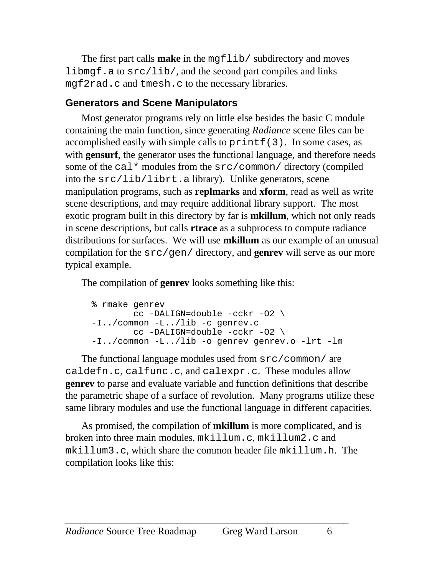<span id="page-5-0"></span>The first part calls **make** in the mgflib/ subdirectory and moves libmgf.a to  $src/lib/$ , and the second part compiles and links mgf2rad.c and tmesh.c to the necessary libraries.

## **Generators and Scene Manipulators**

Most generator programs rely on little else besides the basic C module containing the main function, since generating *Radiance* scene files can be accomplished easily with simple calls to  $\text{print}(3)$ . In some cases, as with **gensurf**, the generator uses the functional language, and therefore needs some of the cal\* modules from the  $src/common/$  directory (compiled into the src/lib/librt.a library). Unlike generators, scene manipulation programs, such as **replmarks** and **xform**, read as well as write scene descriptions, and may require additional library support. The most exotic program built in this directory by far is **mkillum**, which not only reads in scene descriptions, but calls **rtrace** as a subprocess to compute radiance distributions for surfaces. We will use **mkillum** as our example of an unusual compilation for the src/gen/ directory, and **genrev** will serve as our more typical example.

The compilation of **genrev** looks something like this:

```
% rmake genrev
         cc -DALIGN=double -cckr -O2 \
-I../common -L../lib -c genrev.c
         cc -DALIGN=double -cckr -O2 \
-I../common -L../lib -o genrev genrev.o -lrt -lm
```
The functional language modules used from src/common/ are caldefn.c, calfunc.c, and calexpr.c. These modules allow **genrev** to parse and evaluate variable and function definitions that describe the parametric shape of a surface of revolution. Many programs utilize these same library modules and use the functional language in different capacities.

As promised, the compilation of **mkillum** is more complicated, and is broken into three main modules, mkillum.c, mkillum2.c and mkillum3.c, which share the common header file mkillum.h. The compilation looks like this: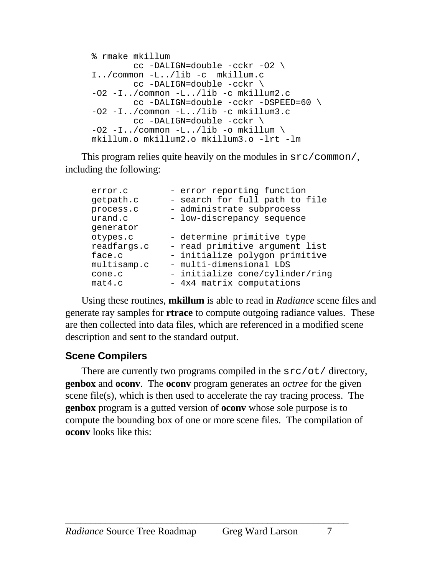```
% rmake mkillum
        cc -DALIGN=double -cckr -O2 \
I../common -L../lib -c mkillum.c
        cc -DALIGN=double -cckr \
-O2 -I../common -L../lib -c mkillum2.c
         cc -DALIGN=double -cckr -DSPEED=60 \
-O2 -I../common -L../lib -c mkillum3.c
        cc -DALIGN=double -cckr \
-02 -I../common -L../lib -o mkillum \
mkillum.o mkillum2.o mkillum3.o -lrt -lm
```
This program relies quite heavily on the modules in  $src/common/$ , including the following:

```
error.c - error reporting function
getpath.c - search for full path to file
process.c - administrate subprocess
urand.c - low-discrepancy sequence
generator
otypes.c <sup>-</sup> determine primitive type
readfargs.c - read primitive argument list
face.c <sup>-</sup> initialize polygon primitive
multisamp.c - multi-dimensional LDS
cone.c - initialize cone/cylinder/ring
mat4.c - 4x4 matrix computations
```
Using these routines, **mkillum** is able to read in *Radiance* scene files and generate ray samples for **rtrace** to compute outgoing radiance values. These are then collected into data files, which are referenced in a modified scene description and sent to the standard output.

### **Scene Compilers**

There are currently two programs compiled in the src/ot/ directory, **genbox** and **oconv**. The **oconv** program generates an *octree* for the given scene file(s), which is then used to accelerate the ray tracing process. The **genbox** program is a gutted version of **oconv** whose sole purpose is to compute the bounding box of one or more scene files. The compilation of **oconv** looks like this: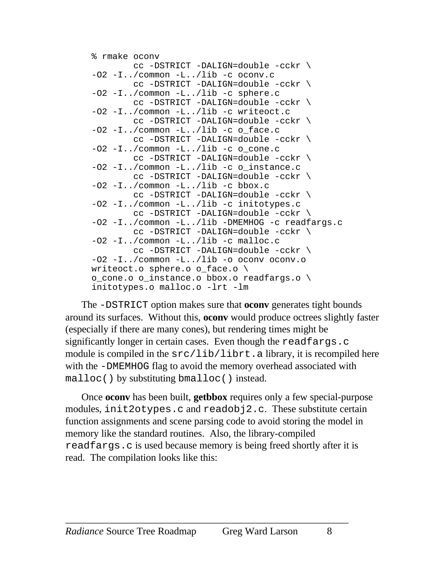```
% rmake oconv
         cc -DSTRICT -DALIGN=double -cckr \
-02 -I../common -L../lib -c oconv.c
         cc -DSTRICT -DALIGN=double -cckr \
-02 -I../common -L../lib -c sphere.c
         cc -DSTRICT -DALIGN=double -cckr \
-O2 -I../common -L../lib -c writeoct.c
         cc -DSTRICT -DALIGN=double -cckr \
-02 -I../common -L../lib -c o face.c
         cc -DSTRICT -DALIGN=double -cckr \
-02 -I../common -L../lib -c o cone.c
         cc -DSTRICT -DALIGN=double -cckr \
-O2 -I../common -L../lib -c o_instance.c
         cc -DSTRICT -DALIGN=double -cckr \
-02 -I../common -L../lib -c bbox.c
         cc -DSTRICT -DALIGN=double -cckr \
-O2 -I../common -L../lib -c initotypes.c
         cc -DSTRICT -DALIGN=double -cckr \
-O2 -I../common -L../lib -DMEMHOG -c readfargs.c
         cc -DSTRICT -DALIGN=double -cckr \
-02 -I../common -L../lib -c malloc.c
         cc -DSTRICT -DALIGN=double -cckr \
-O2 -I../common -L../lib -o oconv oconv.o
writeoct.o sphere.o o_face.o \
o_cone.o o_instance.o bbox.o readfargs.o \
initotypes.o malloc.o -lrt -lm
```
The -DSTRICT option makes sure that **oconv** generates tight bounds around its surfaces. Without this, **oconv** would produce octrees slightly faster (especially if there are many cones), but rendering times might be significantly longer in certain cases. Even though the readfargs.c module is compiled in the  $src/lib/librt$ . a library, it is recompiled here with the -DMEMHOG flag to avoid the memory overhead associated with malloc() by substituting bmalloc() instead.

Once **oconv** has been built, **getbbox** requires only a few special-purpose modules, init2otypes.c and readobj2.c. These substitute certain function assignments and scene parsing code to avoid storing the model in memory like the standard routines. Also, the library-compiled readfargs.c is used because memory is being freed shortly after it is read. The compilation looks like this: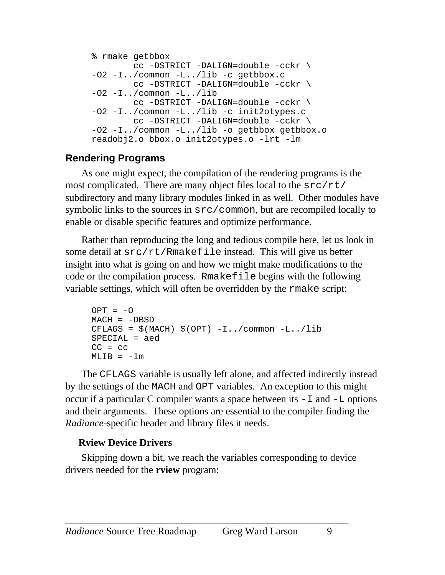```
% rmake getbbox
        cc -DSTRICT -DALIGN=double -cckr \
-O2 -I../common -L../lib -c getbbox.c
        cc -DSTRICT -DALIGN=double -cckr \
-02 - I../common -L../lib
         cc -DSTRICT -DALIGN=double -cckr \
-O2 -I../common -L../lib -c init2otypes.c
        cc -DSTRICT -DALIGN=double -cckr \
-O2 -I../common -L../lib -o getbbox getbbox.o
readobj2.o bbox.o init2otypes.o -lrt -lm
```
## **Rendering Programs**

As one might expect, the compilation of the rendering programs is the most complicated. There are many object files local to the  $src/rt/$ subdirectory and many library modules linked in as well. Other modules have symbolic links to the sources in src/common, but are recompiled locally to enable or disable specific features and optimize performance.

Rather than reproducing the long and tedious compile here, let us look in some detail at src/rt/Rmakefile instead. This will give us better insight into what is going on and how we might make modifications to the code or the compilation process. Rmakefile begins with the following variable settings, which will often be overridden by the rmake script:

```
OPT = -OMACH = -DBSDCFLAGS = \$ (MACH) \ $ (OPT) -I../common -L../libSPECIAL = aed
CC = CCMLIB = -lm
```
The CFLAGS variable is usually left alone, and affected indirectly instead by the settings of the MACH and OPT variables. An exception to this might occur if a particular C compiler wants a space between its  $-I$  and  $-L$  options and their arguments. These options are essential to the compiler finding the *Radiance*-specific header and library files it needs.

### **Rview Device Drivers**

Skipping down a bit, we reach the variables corresponding to device drivers needed for the **rview** program: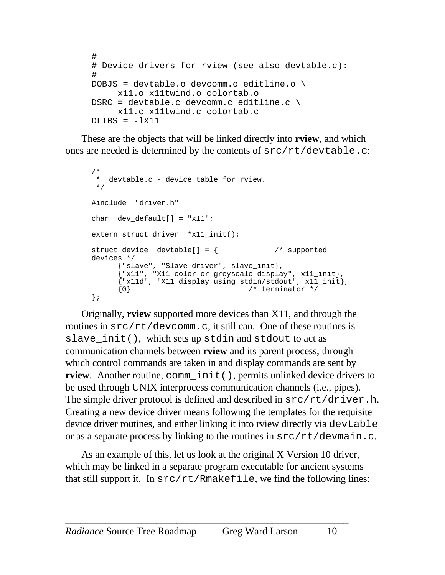```
#
# Device drivers for rview (see also devtable.c):
#
DOBJS = devtable.o devcomm.o editline.o \
     x11.o x11twind.o colortab.o
DSRC = devtable.c devcomm.c editline.c \
     x11.c x11twind.c colortab.c
DLIBS = -1X11
```
These are the objects that will be linked directly into **rview**, and which ones are needed is determined by the contents of src/rt/devtable.c:

```
/*
 * devtable.c - device table for rview.
 */
#include "driver.h"
char dev_default[] = "x11";
extern struct driver *x11_init();
struct device devtable[] = { /* supported
devices */
     {"slave", "Slave driver", slave_init},
     {"x11", "X11 color or greyscale display", x11_init},
     {"x11d", "X11 display using stdin/stdout", x11_init},
     \{0\} /* terminator */
};
```
Originally, **rview** supported more devices than X11, and through the routines in src/rt/devcomm.c, it still can. One of these routines is slave\_init(), which sets up stdin and stdout to act as communication channels between **rview** and its parent process, through which control commands are taken in and display commands are sent by **rview**. Another routine, comm\_init(), permits unlinked device drivers to be used through UNIX interprocess communication channels (i.e., pipes). The simple driver protocol is defined and described in  $src/rt/driver.h$ . Creating a new device driver means following the templates for the requisite device driver routines, and either linking it into rview directly via devtable or as a separate process by linking to the routines in  $src/rt/devmain.c.$ 

As an example of this, let us look at the original X Version 10 driver, which may be linked in a separate program executable for ancient systems that still support it. In  $src/rt/RMakefile$ , we find the following lines: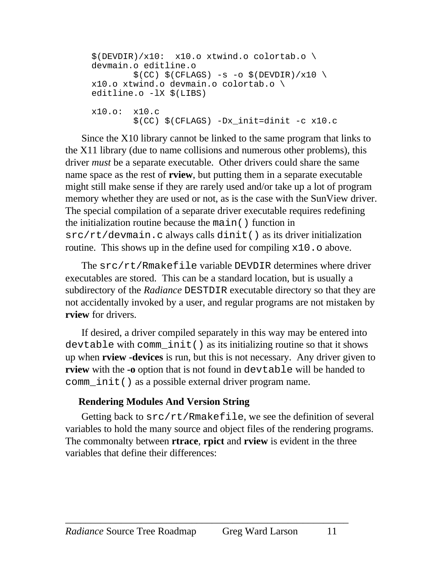```
$(DEVDIR)/x10: x10.o xtwind.o colortab.o \devmain.o editline.o
        \$(CC) \$(CFLAGS) -s -o \$(DEVDIR)/x10 \x10.o xtwind.o devmain.o colortab.o \
editline.o -lX $(LIBS)
x10.o: x10.c
         $(CC) $(CFLAGS) -Dx_init=dinit -c x10.c
```
Since the X10 library cannot be linked to the same program that links to the X11 library (due to name collisions and numerous other problems), this driver *must* be a separate executable. Other drivers could share the same name space as the rest of **rview**, but putting them in a separate executable might still make sense if they are rarely used and/or take up a lot of program memory whether they are used or not, as is the case with the SunView driver. The special compilation of a separate driver executable requires redefining the initialization routine because the main() function in src/rt/devmain.c always calls dinit() as its driver initialization routine. This shows up in the define used for compiling  $x10$ . o above.

The src/rt/Rmakefile variable DEVDIR determines where driver executables are stored. This can be a standard location, but is usually a subdirectory of the *Radiance* DESTDIR executable directory so that they are not accidentally invoked by a user, and regular programs are not mistaken by **rview** for drivers.

If desired, a driver compiled separately in this way may be entered into devtable with comm\_init() as its initializing routine so that it shows up when **rview -devices** is run, but this is not necessary. Any driver given to **rview** with the **-o** option that is not found in devtable will be handed to comm\_init() as a possible external driver program name.

#### **Rendering Modules And Version String**

Getting back to src/rt/Rmakefile, we see the definition of several variables to hold the many source and object files of the rendering programs. The commonalty between **rtrace**, **rpict** and **rview** is evident in the three variables that define their differences: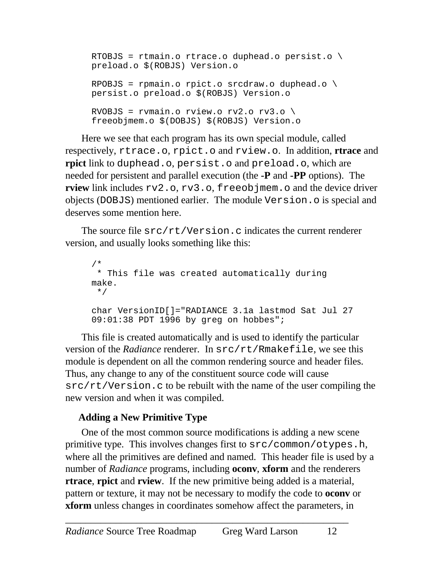```
RTOBJS = rtmain.o rtrace.o duphead.o persist.o \setminuspreload.o $(ROBJS) Version.o
RPOBJS = rpmain.o rpict.o srcdraw.o duphead.o \
persist.o preload.o $(ROBJS) Version.o
RVOBJS = rvmain.o rview.o rv2.o rv3.o \
freeobjmem.o $(DOBJS) $(ROBJS) Version.o
```
Here we see that each program has its own special module, called respectively, rtrace.o, rpict.o and rview.o. In addition, **rtrace** and **rpict** link to duphead.o, persist.o and preload.o, which are needed for persistent and parallel execution (the **-P** and **-PP** options). The **rview** link includes  $rv2$ .o,  $rv3$ .o, freeobjmem.o and the device driver objects (DOBJS) mentioned earlier. The module Version.o is special and deserves some mention here.

The source file  $src/rt/Version.c$  indicates the current renderer version, and usually looks something like this:

```
/*
  * This file was created automatically during
make.
  */
char VersionID[]="RADIANCE 3.1a lastmod Sat Jul 27
09:01:38 PDT 1996 by greg on hobbes";
```
This file is created automatically and is used to identify the particular version of the *Radiance* renderer. In src/rt/Rmakefile, we see this module is dependent on all the common rendering source and header files. Thus, any change to any of the constituent source code will cause  $src/rt/Version.c$  to be rebuilt with the name of the user compiling the new version and when it was compiled.

### **Adding a New Primitive Type**

One of the most common source modifications is adding a new scene primitive type. This involves changes first to src/common/otypes.h, where all the primitives are defined and named. This header file is used by a number of *Radiance* programs, including **oconv**, **xform** and the renderers **rtrace**, **rpict** and **rview**. If the new primitive being added is a material, pattern or texture, it may not be necessary to modify the code to **oconv** or **xform** unless changes in coordinates somehow affect the parameters, in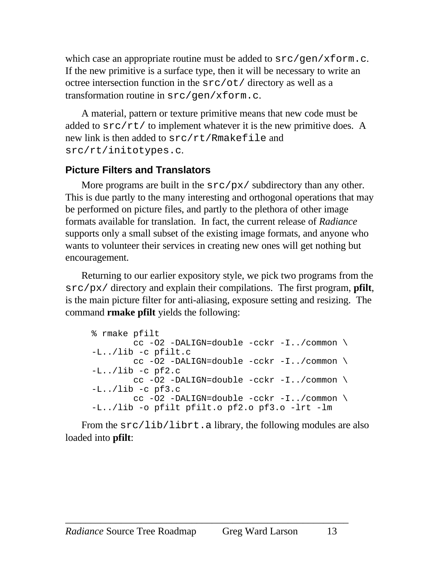<span id="page-12-0"></span>which case an appropriate routine must be added to  $src/gen/xform.c.$ If the new primitive is a surface type, then it will be necessary to write an octree intersection function in the src/ot/ directory as well as a transformation routine in src/gen/xform.c.

A material, pattern or texture primitive means that new code must be added to  $src/rt/$  to implement whatever it is the new primitive does. A new link is then added to src/rt/Rmakefile and src/rt/initotypes.c.

## **Picture Filters and Translators**

More programs are built in the  $src/px/$  subdirectory than any other. This is due partly to the many interesting and orthogonal operations that may be performed on picture files, and partly to the plethora of other image formats available for translation. In fact, the current release of *Radiance* supports only a small subset of the existing image formats, and anyone who wants to volunteer their services in creating new ones will get nothing but encouragement.

Returning to our earlier expository style, we pick two programs from the src/px/ directory and explain their compilations. The first program, **pfilt**, is the main picture filter for anti-aliasing, exposure setting and resizing. The command **rmake pfilt** yields the following:

```
% rmake pfilt
        cc -O2 -DALIGN=double -cckr -I../common \
-L../lib -c pfilt.c
         cc -O2 -DALIGN=double -cckr -I../common \
-L../lib -c pf2.c
         cc -O2 -DALIGN=double -cckr -I../common \
-L../lib -c pf3.c
        cc -O2 -DALIGN=double -cckr -I../common \
-L../lib -o pfilt pfilt.o pf2.o pf3.o -lrt -lm
```
From the src/lib/librt.a library, the following modules are also loaded into **pfilt**: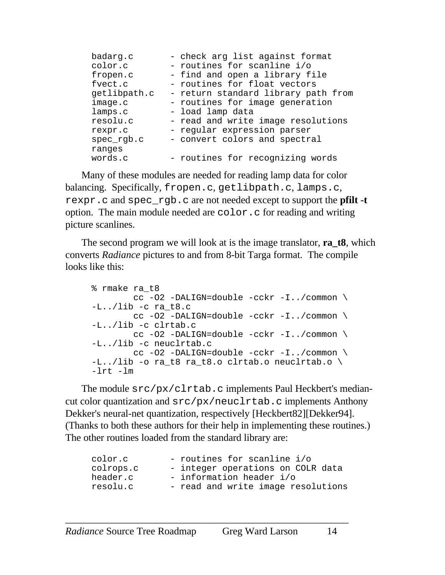| badarg.c      | - check arg list against format     |
|---------------|-------------------------------------|
| color.c       | - routines for scanline i/o         |
| fropen.c      | - find and open a library file      |
| fvect.c       | - routines for float vectors        |
| getlibpath.c  | - return standard library path from |
| image.c       | - routines for image generation     |
| lamps.c       | - load lamp data                    |
| resolu.c      | - read and write image resolutions  |
| rexpr.c       | - regular expression parser         |
| $spec\_rgb.c$ | - convert colors and spectral       |
| ranges        |                                     |
| words.c       | - routines for recognizing words    |

Many of these modules are needed for reading lamp data for color balancing. Specifically, fropen.c, getlibpath.c, lamps.c, rexpr.c and spec\_rgb.c are not needed except to support the **pfilt -t** option. The main module needed are color.c for reading and writing picture scanlines.

The second program we will look at is the image translator, **ra\_t8**, which converts *Radiance* pictures to and from 8-bit Targa format. The compile looks like this:

```
% rmake ra_t8
        cc -O2 -DALIGN=double -cckr -I../common \
-L../lib -c ra_t8.c cc -O2 -DALIGN=double -cckr -I../common \
-L../lib -c clrtab.c
        cc -O2 -DALIGN=double -cckr -I../common \
-L../lib -c neuclrtab.c
        cc -O2 -DALIGN=double -cckr -I../common \
-L../lib -o ra_t8 ra_t8.o clrtab.o neuclrtab.o \
-1rt -lm
```
The module src/px/clrtab.c implements Paul Heckbert's mediancut color quantization and src/px/neuclrtab.c implements Anthony Dekker's neural-net quantization, respectively [Heckbert82][Dekker94]. (Thanks to both these authors for their help in implementing these routines.) The other routines loaded from the standard library are:

| color.c   | - routines for scanline i/o        |
|-----------|------------------------------------|
| colrops.c | - integer operations on COLR data  |
| header.c  | - information header i/o           |
| resolu.c  | - read and write image resolutions |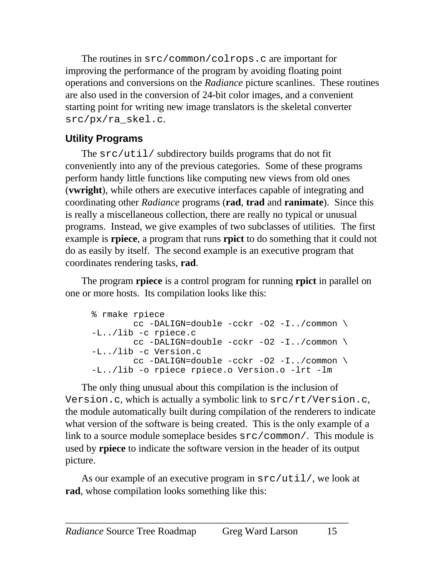<span id="page-14-0"></span>The routines in src/common/colrops.c are important for improving the performance of the program by avoiding floating point operations and conversions on the *Radiance* picture scanlines. These routines are also used in the conversion of 24-bit color images, and a convenient starting point for writing new image translators is the skeletal converter src/px/ra\_skel.c.

# **Utility Programs**

The src/util/ subdirectory builds programs that do not fit conveniently into any of the previous categories. Some of these programs perform handy little functions like computing new views from old ones (**vwright**), while others are executive interfaces capable of integrating and coordinating other *Radiance* programs (**rad**, **trad** and **ranimate**). Since this is really a miscellaneous collection, there are really no typical or unusual programs. Instead, we give examples of two subclasses of utilities. The first example is **rpiece**, a program that runs **rpict** to do something that it could not do as easily by itself. The second example is an executive program that coordinates rendering tasks, **rad**.

The program **rpiece** is a control program for running **rpict** in parallel on one or more hosts. Its compilation looks like this:

```
% rmake rpiece
        cc -DALIGN=double -cckr -O2 -I../common \
-L../lib -c rpiece.c
        cc -DALIGN=double -cckr -O2 -I../common \
-L../lib -c Version.c
         cc -DALIGN=double -cckr -O2 -I../common \
-L../lib -o rpiece rpiece.o Version.o -lrt -lm
```
The only thing unusual about this compilation is the inclusion of Version.c, which is actually a symbolic link to src/rt/Version.c, the module automatically built during compilation of the renderers to indicate what version of the software is being created. This is the only example of a link to a source module someplace besides src/common/. This module is used by **rpiece** to indicate the software version in the header of its output picture.

As our example of an executive program in  $src/util/$ , we look at **rad**, whose compilation looks something like this: